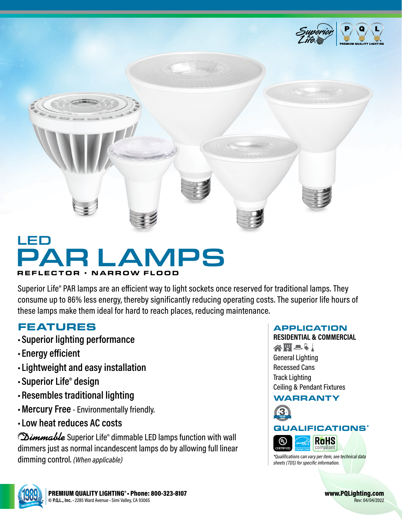

# MPS REFLECTOR • NARROW FLOOD LED

Superior Life® PAR lamps are an efficient way to light sockets once reserved for traditional lamps. They consume up to 86% less energy, thereby significantly reducing operating costs. The superior life hours of these lamps make them ideal for hard to reach places, reducing maintenance.

## FEATURES

- **•Superior lighting performance**
- **• Energy efficient**
- **• Lightweight and easy installation**
- **•Superior Life® design**
- **•Resembles traditional lighting**
- **•Mercury Free** Environmentally friendly.
- **• Low heat reduces AC costs**

**Dimmable** Superior Life® dimmable LED lamps function with wall dimmers just as normal incandescent lamps do by allowing full linear dimming control. *(When applicable)*

### APPLICATION

**RESIDENTIAL & COMMERCIAL** 谷田とり General Lighting Recessed Cans Track Lighting Ceiling & Pendant Fixtures

### WARRANTY







www.PQLighting.com Rev: 04/04/2022